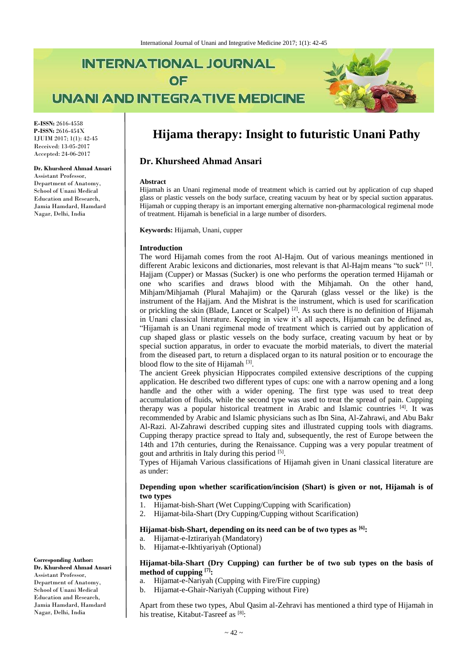# **INTERNATIONAL JOURNAL** OF **UNANI AND INTEGRATIVE MEDICINE**



**E-ISSN:** 2616-4558 **P-ISSN:** 2616-454X IJUIM 2017; 1(1): 42-45 Received: 13-05-2017 Accepted: 24-06-2017

#### **Dr. Khursheed Ahmad Ansari**

Assistant Professor, Department of Anatomy, School of Unani Medical Education and Research, Jamia Hamdard, Hamdard Nagar, Delhi, India

## **Hijama therapy: Insight to futuristic Unani Pathy**

## **Dr. Khursheed Ahmad Ansari**

#### **Abstract**

Hijamah is an Unani regimenal mode of treatment which is carried out by application of cup shaped glass or plastic vessels on the body surface, creating vacuum by heat or by special suction apparatus. Hijamah or cupping therapy is an important emerging alternative non-pharmacological regimenal mode of treatment. Hijamah is beneficial in a large number of disorders.

**Keywords:** Hijamah, Unani, cupper

#### **Introduction**

The word Hijamah comes from the root Al-Hajm. Out of various meanings mentioned in different Arabic lexicons and dictionaries, most relevant is that Al-Hajm means "to suck" [1]. Hajjam (Cupper) or Massas (Sucker) is one who performs the operation termed Hijamah or one who scarifies and draws blood with the Mihjamah. On the other hand, Mihjam/Mihjamah (Plural Mahajim) or the Qarurah (glass vessel or the like) is the instrument of the Hajjam. And the Mishrat is the instrument, which is used for scarification or prickling the skin (Blade, Lancet or Scalpel)<sup>[2]</sup>. As such there is no definition of Hijamah in Unani classical literature. Keeping in view it's all aspects, Hijamah can be defined as, "Hijamah is an Unani regimenal mode of treatment which is carried out by application of cup shaped glass or plastic vessels on the body surface, creating vacuum by heat or by special suction apparatus, in order to evacuate the morbid materials, to divert the material from the diseased part, to return a displaced organ to its natural position or to encourage the blood flow to the site of Hijamah<sup>[3]</sup>.

The ancient Greek physician Hippocrates compiled extensive descriptions of the cupping application. He described two different types of cups: one with a narrow opening and a long handle and the other with a wider opening. The first type was used to treat deep accumulation of fluids, while the second type was used to treat the spread of pain. Cupping therapy was a popular historical treatment in Arabic and Islamic countries [4]. It was recommended by Arabic and Islamic physicians such as Ibn Sina, Al-Zahrawi, and Abu Bakr Al-Razi. Al-Zahrawi described cupping sites and illustrated cupping tools with diagrams. Cupping therapy practice spread to Italy and, subsequently, the rest of Europe between the 14th and 17th centuries, during the Renaissance. Cupping was a very popular treatment of gout and arthritis in Italy during this period [5].

Types of Hijamah Various classifications of Hijamah given in Unani classical literature are as under:

### **Depending upon whether scarification/incision (Shart) is given or not, Hijamah is of two types**

- 1. Hijamat-bish-Shart (Wet Cupping/Cupping with Scarification)
- 2. Hijamat-bila-Shart (Dry Cupping/Cupping without Scarification)

## **Hijamat-bish-Shart, depending on its need can be of two types as [6]:**

- a. Hijamat-e-Iztirariyah (Mandatory)
- b. Hijamat-e-Ikhtiyariyah (Optional)

#### **Hijamat-bila-Shart (Dry Cupping) can further be of two sub types on the basis of method of cupping [7]:**

- a. Hijamat-e-Nariyah (Cupping with Fire/Fire cupping)
- b. Hijamat-e-Ghair-Nariyah (Cupping without Fire)

Apart from these two types, Abul Qasim al-Zehravi has mentioned a third type of Hijamah in his treatise, Kitabut-Tasreef as [8]:

**Corresponding Author:**

**Dr. Khursheed Ahmad Ansari** Assistant Professor, Department of Anatomy, School of Unani Medical Education and Research, Jamia Hamdard, Hamdard Nagar, Delhi, India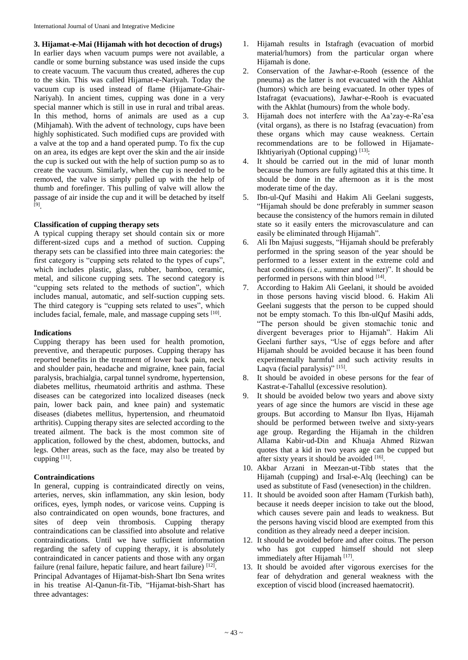**3. Hijamat-e-Mai (Hijamah with hot decoction of drugs)** In earlier days when vacuum pumps were not available, a candle or some burning substance was used inside the cups to create vacuum. The vacuum thus created, adheres the cup to the skin. This was called Hijamat-e-Nariyah. Today the vacuum cup is used instead of flame (Hijamate-Ghair-Nariyah). In ancient times, cupping was done in a very special manner which is still in use in rural and tribal areas. In this method, horns of animals are used as a cup (Mihjamah). With the advent of technology, cups have been highly sophisticated. Such modified cups are provided with a valve at the top and a hand operated pump. To fix the cup on an area, its edges are kept over the skin and the air inside the cup is sucked out with the help of suction pump so as to create the vacuum. Similarly, when the cup is needed to be removed, the valve is simply pulled up with the help of thumb and forefinger. This pulling of valve will allow the passage of air inside the cup and it will be detached by itself [9] .

## **Classification of cupping therapy sets**

A typical cupping therapy set should contain six or more different-sized cups and a method of suction. Cupping therapy sets can be classified into three main categories: the first category is "cupping sets related to the types of cups", which includes plastic, glass, rubber, bamboo, ceramic, metal, and silicone cupping sets. The second category is "cupping sets related to the methods of suction", which includes manual, automatic, and self-suction cupping sets. The third category is "cupping sets related to uses", which includes facial, female, male, and massage cupping sets [10].

### **Indications**

Cupping therapy has been used for health promotion, preventive, and therapeutic purposes. Cupping therapy has reported benefits in the treatment of lower back pain, neck and shoulder pain, headache and migraine, knee pain, facial paralysis, brachialgia, carpal tunnel syndrome, hypertension, diabetes mellitus, rheumatoid arthritis and asthma. These diseases can be categorized into localized diseases (neck pain, lower back pain, and knee pain) and systematic diseases (diabetes mellitus, hypertension, and rheumatoid arthritis). Cupping therapy sites are selected according to the treated ailment. The back is the most common site of application, followed by the chest, abdomen, buttocks, and legs. Other areas, such as the face, may also be treated by cupping  $^{[11]}$ .

### **Contraindications**

three advantages:

In general, cupping is contraindicated directly on veins, arteries, nerves, skin inflammation, any skin lesion, body orifices, eyes, lymph nodes, or varicose veins. Cupping is also contraindicated on open wounds, bone fractures, and sites of deep vein thrombosis. Cupping therapy contraindications can be classified into absolute and relative contraindications. Until we have sufficient information regarding the safety of cupping therapy, it is absolutely contraindicated in cancer patients and those with any organ failure (renal failure, hepatic failure, and heart failure) [12]. Principal Advantages of Hijamat-bish-Shart Ibn Sena writes in his treatise Al-Qanun-fit-Tib, "Hijamat-bish-Shart has

- 1. Hijamah results in Istafragh (evacuation of morbid material/humors) from the particular organ where Hijamah is done.
- 2. Conservation of the Jawhar-e-Rooh (essence of the pneuma) as the latter is not evacuated with the Akhlat (humors) which are being evacuated. In other types of Istafragat (evacuations), Jawhar-e-Rooh is evacuated with the Akhlat (humours) from the whole body.
- 3. Hijamah does not interfere with the Aa'zay-e-Ra'esa (vital organs), as there is no Istafrag (evacuation) from these organs which may cause weakness. Certain recommendations are to be followed in Hijamate-Ikhtiyariyah (Optional cupping)<sup>[13]</sup>:
- 4. It should be carried out in the mid of lunar month because the humors are fully agitated this at this time. It should be done in the afternoon as it is the most moderate time of the day.
- 5. Ibn-ul-Quf Masihi and Hakim Ali Geelani suggests, "Hijamah should be done preferably in summer season because the consistency of the humors remain in diluted state so it easily enters the microvasculature and can easily be eliminated through Hijamah".
- 6. Ali Ibn Majusi suggests, "Hijamah should be preferably performed in the spring season of the year should be performed to a lesser extent in the extreme cold and heat conditions (i.e., summer and winter)". It should be performed in persons with thin blood [14].
- 7. According to Hakim Ali Geelani, it should be avoided in those persons having viscid blood. 6. Hakim Ali Geelani suggests that the person to be cupped should not be empty stomach. To this Ibn-ulQuf Masihi adds, "The person should be given stomachic tonic and divergent beverages prior to Hijamah". Hakim Ali Geelani further says, "Use of eggs before and after Hijamah should be avoided because it has been found experimentally harmful and such activity results in Laqva (facial paralysis)"<sup>[15]</sup>.
- 8. It should be avoided in obese persons for the fear of Kastrat-e-Tahallul (excessive resolution).
- 9. It should be avoided below two years and above sixty years of age since the humors are viscid in these age groups. But according to Mansur Ibn Ilyas, Hijamah should be performed between twelve and sixty-years age group. Regarding the Hijamah in the children Allama Kabir-ud-Din and Khuaja Ahmed Rizwan quotes that a kid in two years age can be cupped but after sixty years it should be avoided [16].
- 10. Akbar Arzani in Meezan-ut-Tibb states that the Hijamah (cupping) and Irsal-e-Alq (leeching) can be used as substitute of Fasd (venesection) in the children.
- 11. It should be avoided soon after Hamam (Turkish bath), because it needs deeper incision to take out the blood, which causes severe pain and leads to weakness. But the persons having viscid blood are exempted from this condition as they already need a deeper incision.
- 12. It should be avoided before and after coitus. The person who has got cupped himself should not sleep immediately after Hijamah<sup>[17]</sup>.
- 13. It should be avoided after vigorous exercises for the fear of dehydration and general weakness with the exception of viscid blood (increased haematocrit).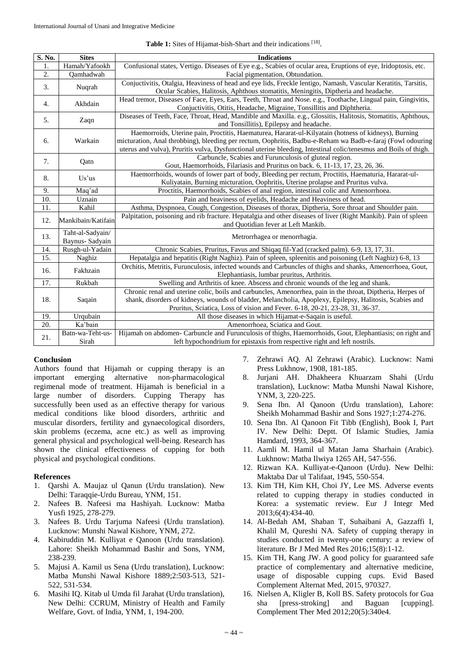| Table 1: Sites of Hijamat-bish-Shart and their indications [18]. |  |
|------------------------------------------------------------------|--|
|------------------------------------------------------------------|--|

| S. No. | <b>Sites</b>       | <b>Indications</b>                                                                                               |
|--------|--------------------|------------------------------------------------------------------------------------------------------------------|
| 1.     | Hamah/Yafookh      | Confusional states, Vertigo. Diseases of Eye e.g., Scabies of ocular area, Eruptions of eye, Iridoptosis, etc.   |
| 2.     | Qamhadwah          | Facial pigmentation, Obtundation.                                                                                |
| 3.     | Nuqrah             | Conjuctivitis, Otalgia, Heaviness of head and eye lids, Freckle lentigo, Namash, Vascular Keratitis, Tarsitis,   |
|        |                    | Ocular Scabies, Halitosis, Aphthous stomatitis, Meningitis, Diptheria and headache.                              |
| 4.     | Akhdain            | Head tremor, Diseases of Face, Eyes, Ears, Teeth, Throat and Nose. e.g., Toothache, Lingual pain, Gingivitis,    |
|        |                    | Conjuctivitis, Otitis, Headache, Migraine, Tonsillitis and Diphtheria.                                           |
| 5.     | Zaqn               | Diseases of Teeth, Face, Throat, Head, Mandible and Maxilla. e.g., Glossitis, Halitosis, Stomatitis, Aphthous,   |
|        |                    | and Tonsillitis), Epilepsy and headache.                                                                         |
| 6.     | Warkain            | Haemorroids, Uterine pain, Proctitis, Haematurea, Hararat-ul-Kilyatain (hotness of kidneys), Burning             |
|        |                    | micturation, Anal throbbing), bleeding per rectum, Oophritis, Badbu-e-Reham wa Badb-e-faraj (Fowl odouring       |
|        |                    | uterus and vulva), Pruritis vulva, Dysfunctional uterine bleeding, Intestinal colic/tenesmus and Boils of thigh. |
| 7.     | Qatn               | Carbuncle, Scabies and Furunculosis of gluteal region.                                                           |
|        |                    | Gout, Haemorrhoids, Filariasis and Pruritus on back. 6, 11-13, 17, 23, 26, 36.                                   |
| 8.     | Us'us              | Haemorrhoids, wounds of lower part of body, Bleeding per rectum, Proctitis, Haematuria, Hararat-ul-              |
|        |                    | Kuliyatain, Burning micturation, Oophritis, Uterine prolapse and Pruritus vulva.                                 |
| 9.     | Maq'ad             | Proctitis, Haemorrhoids, Scabies of anal region, intestinal colic and Amenorrhoea.                               |
| 10.    | Uznain             | Pain and heaviness of eyelids, Headache and Heaviness of head.                                                   |
| 11.    | Kahil              | Asthma, Dyspnoea, Cough, Congestion, Diseases of thorax, Diptheria, Sore throat and Shoulder pain.               |
| 12.    | Mankibain/Katifain | Palpitation, poisoning and rib fracture. Hepatalgia and other diseases of liver (Right Mankib). Pain of spleen   |
|        |                    | and Quotidian fever at Left Mankib.                                                                              |
| 13.    | Taht-al-Sadyain/   | Metrorrhagea or menorrhagia.                                                                                     |
|        | Baynus- Sadyain    |                                                                                                                  |
| 14.    | Rusgh-ul-Yadain    | Chronic Scabies, Pruritus, Favus and Shiqaq fil-Yad (cracked palm). 6-9, 13, 17, 31.                             |
| 15.    | Naghiz             | Hepatalgia and hepatitis (Right Naghiz). Pain of spleen, spleenitis and poisoning (Left Naghiz) 6-8, 13          |
| 16.    | Fakhzain           | Orchitis, Metritis, Furunculosis, infected wounds and Carbuncles of thighs and shanks, Amenorrhoea, Gout,        |
|        |                    | Elephantiasis, lumbar pruritus, Arthritis.                                                                       |
| 17.    | Rukbah             | Swelling and Arthritis of knee. Abscess and chronic wounds of the leg and shank.                                 |
| 18.    | Saqain             | Chronic renal and uterine colic, boils and carbuncles, Amenorrhea, pain in the throat, Diptheria, Herpes of      |
|        |                    | shank, disorders of kidneys, wounds of bladder, Melancholia, Apoplexy, Epilepsy, Halitosis, Scabies and          |
|        |                    | Pruritus, Sciatica, Loss of vision and Fever. 6-18, 20-21, 23-28, 31, 36-37.                                     |
| 19.    | Urqubain           | All those diseases in which Hijamat-e-Saqain is useful.                                                          |
| 20.    | Ka'bain            | Amenorrhoea, Sciatica and Gout.                                                                                  |
| 21.    | Batn-wa-Teht-us-   | Hijamah on abdomen- Carbuncle and Furunculosis of thighs, Haemorrhoids, Gout, Elephantiasis; on right and        |
|        | Sirah              | left hypochondrium for epistaxis from respective right and left nostrils.                                        |

### **Conclusion**

Authors found that Hijamah or cupping therapy is an important emerging alternative non-pharmacological regimenal mode of treatment. Hijamah is beneficial in a large number of disorders. Cupping Therapy has successfully been used as an effective therapy for various medical conditions like blood disorders, arthritic and muscular disorders, fertility and gynaecological disorders, skin problems (eczema, acne etc.) as well as improving general physical and psychological well-being. Research has shown the clinical effectiveness of cupping for both physical and psychological conditions.

#### **References**

- 1. Qarshi A. Maujaz ul Qanun (Urdu translation). New Delhi: Taraqqie-Urdu Bureau, YNM, 151.
- 2. Nafees B. Nafeesi ma Hashiyah. Lucknow: Matba Yusfi 1925, 278-279.
- 3. Nafees B. Urdu Tarjuma Nafeesi (Urdu translation). Lucknow: Munshi Nawal Kishore, YNM, 272.
- 4. Kabiruddin M. Kulliyat e Qanoon (Urdu translation). Lahore: Sheikh Mohammad Bashir and Sons, YNM, 238-239.
- 5. Majusi A. Kamil us Sena (Urdu translation), Lucknow: Matba Munshi Nawal Kishore 1889;2:503-513, 521- 522, 531-534.
- 6. Masihi IQ. Kitab ul Umda fil Jarahat (Urdu translation), New Delhi: CCRUM, Ministry of Health and Family Welfare, Govt. of India, YNM, 1, 194-200.
- 7. Zehrawi AQ. Al Zehrawi (Arabic). Lucknow: Nami Press Lukhnow, 1908, 181-185.
- 8. Jurjani AH. Dhakheera Khuarzam Shahi (Urdu translation), Lucknow: Matba Munshi Nawal Kishore, YNM, 3, 220-225.
- 9. Sena Ibn. Al Qanoon (Urdu translation), Lahore: Sheikh Mohammad Bashir and Sons 1927;1:274-276.
- 10. Sena Ibn. Al Qanoon Fit Tibb (English), Book I, Part IV. New Delhi: Deptt. Of Islamic Studies, Jamia Hamdard, 1993, 364-367.
- 11. Aamli M. Hamil ul Matan Jama Sharhain (Arabic). Lukhnow: Matba Ilwiya 1265 AH, 547-556.
- 12. Rizwan KA. Kulliyat-e-Qanoon (Urdu). New Delhi: Maktaba Dar ul Talifaat, 1945, 550-554.
- 13. Kim TH, Kim KH, Choi JY, Lee MS. Adverse events related to cupping therapy in studies conducted in Korea: a systematic review. Eur J Integr Med 2013;6(4):434-40.
- 14. Al-Bedah AM, Shaban T, Suhaibani A, Gazzaffi I, Khalil M, Qureshi NA. Safety of cupping therapy in studies conducted in twenty-one century: a review of literature. Br J Med Med Res 2016;15(8):1-12.
- 15. Kim TH, Kang JW. A good policy for guaranteed safe practice of complementary and alternative medicine, usage of disposable cupping cups. Evid Based Complement Alternat Med, 2015, 970327.
- 16. Nielsen A, Kligler B, Koll BS. Safety protocols for Gua sha [press-stroking] and Baguan [cupping]. Complement Ther Med 2012;20(5):340e4.